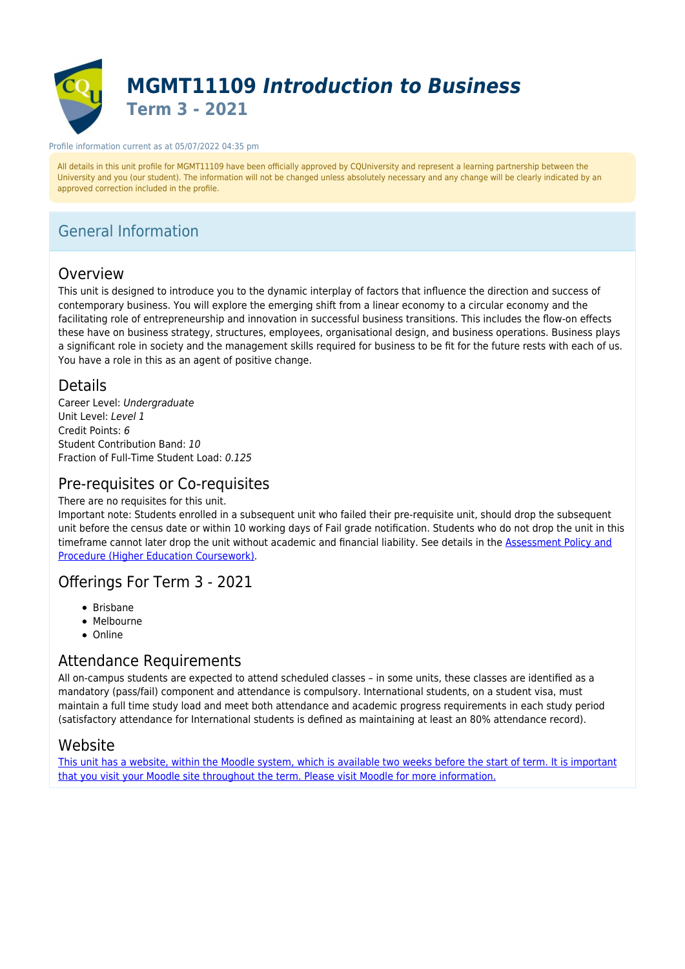

#### Profile information current as at 05/07/2022 04:35 pm

All details in this unit profile for MGMT11109 have been officially approved by CQUniversity and represent a learning partnership between the University and you (our student). The information will not be changed unless absolutely necessary and any change will be clearly indicated by an approved correction included in the profile.

# General Information

## Overview

This unit is designed to introduce you to the dynamic interplay of factors that influence the direction and success of contemporary business. You will explore the emerging shift from a linear economy to a circular economy and the facilitating role of entrepreneurship and innovation in successful business transitions. This includes the flow-on effects these have on business strategy, structures, employees, organisational design, and business operations. Business plays a significant role in society and the management skills required for business to be fit for the future rests with each of us. You have a role in this as an agent of positive change.

### Details

Career Level: Undergraduate Unit Level: Level 1 Credit Points: 6 Student Contribution Band: 10 Fraction of Full-Time Student Load: 0.125

### Pre-requisites or Co-requisites

#### There are no requisites for this unit.

Important note: Students enrolled in a subsequent unit who failed their pre-requisite unit, should drop the subsequent unit before the census date or within 10 working days of Fail grade notification. Students who do not drop the unit in this timeframe cannot later drop the unit without academic and financial liability. See details in the [Assessment Policy and](https://www.cqu.edu.au/policy) [Procedure \(Higher Education Coursework\)](https://www.cqu.edu.au/policy).

### Offerings For Term 3 - 2021

- Brisbane
- Melbourne
- Online

# Attendance Requirements

All on-campus students are expected to attend scheduled classes – in some units, these classes are identified as a mandatory (pass/fail) component and attendance is compulsory. International students, on a student visa, must maintain a full time study load and meet both attendance and academic progress requirements in each study period (satisfactory attendance for International students is defined as maintaining at least an 80% attendance record).

### Website

[This unit has a website, within the Moodle system, which is available two weeks before the start of term. It is important](https://moodle.cqu.edu.au) [that you visit your Moodle site throughout the term. Please visit Moodle for more information.](https://moodle.cqu.edu.au)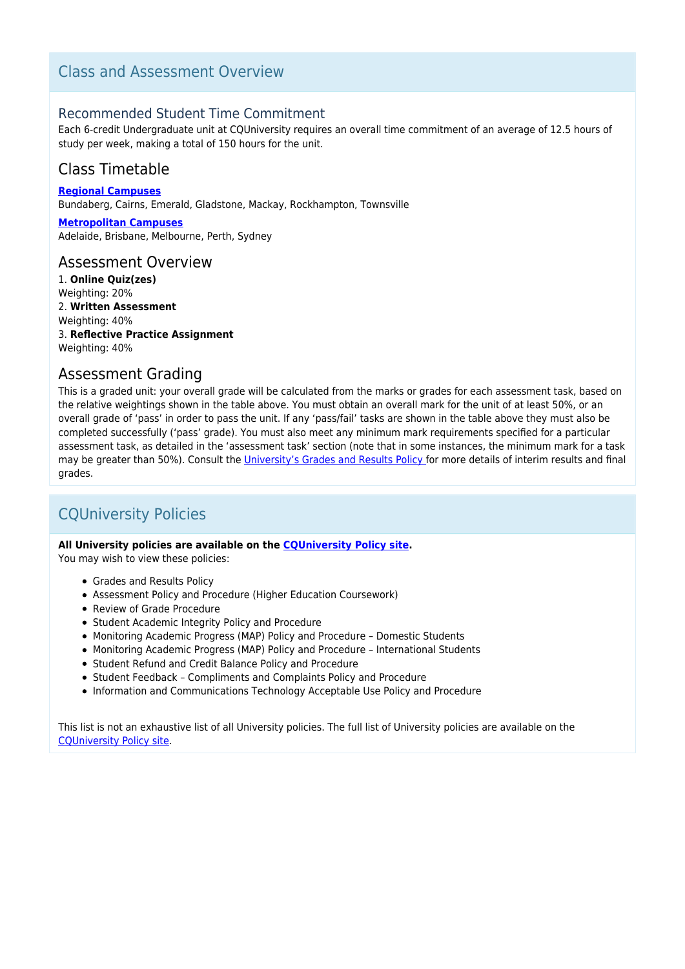# Class and Assessment Overview

### Recommended Student Time Commitment

Each 6-credit Undergraduate unit at CQUniversity requires an overall time commitment of an average of 12.5 hours of study per week, making a total of 150 hours for the unit.

# Class Timetable

**[Regional Campuses](https://handbook.cqu.edu.au/facet/timetables)** Bundaberg, Cairns, Emerald, Gladstone, Mackay, Rockhampton, Townsville

**[Metropolitan Campuses](https://handbook.cqu.edu.au/facet/timetables)** Adelaide, Brisbane, Melbourne, Perth, Sydney

#### Assessment Overview

1. **Online Quiz(zes)** Weighting: 20% 2. **Written Assessment** Weighting: 40% 3. **Reflective Practice Assignment** Weighting: 40%

### Assessment Grading

This is a graded unit: your overall grade will be calculated from the marks or grades for each assessment task, based on the relative weightings shown in the table above. You must obtain an overall mark for the unit of at least 50%, or an overall grade of 'pass' in order to pass the unit. If any 'pass/fail' tasks are shown in the table above they must also be completed successfully ('pass' grade). You must also meet any minimum mark requirements specified for a particular assessment task, as detailed in the 'assessment task' section (note that in some instances, the minimum mark for a task may be greater than 50%). Consult the [University's Grades and Results Policy](https://www.cqu.edu.au/policy) for more details of interim results and final grades.

# CQUniversity Policies

#### **All University policies are available on the [CQUniversity Policy site.](https://policy.cqu.edu.au/)**

You may wish to view these policies:

- Grades and Results Policy
- Assessment Policy and Procedure (Higher Education Coursework)
- Review of Grade Procedure
- Student Academic Integrity Policy and Procedure
- Monitoring Academic Progress (MAP) Policy and Procedure Domestic Students
- Monitoring Academic Progress (MAP) Policy and Procedure International Students
- Student Refund and Credit Balance Policy and Procedure
- Student Feedback Compliments and Complaints Policy and Procedure
- Information and Communications Technology Acceptable Use Policy and Procedure

This list is not an exhaustive list of all University policies. The full list of University policies are available on the [CQUniversity Policy site.](https://policy.cqu.edu.au/)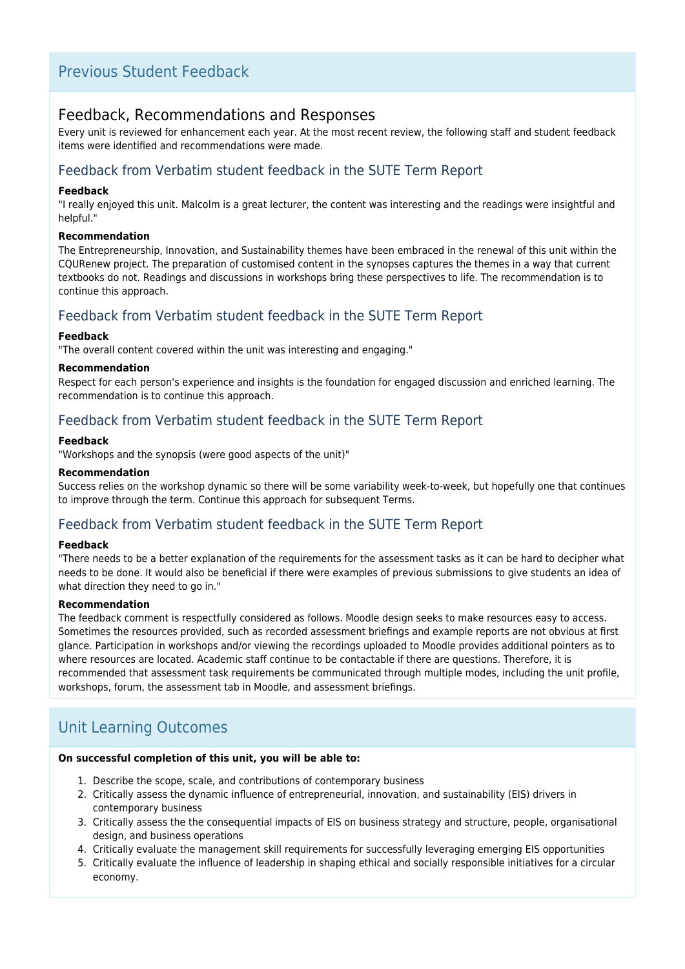# Previous Student Feedback

### Feedback, Recommendations and Responses

Every unit is reviewed for enhancement each year. At the most recent review, the following staff and student feedback items were identified and recommendations were made.

## Feedback from Verbatim student feedback in the SUTE Term Report

#### **Feedback**

"I really enjoyed this unit. Malcolm is a great lecturer, the content was interesting and the readings were insightful and helpful."

#### **Recommendation**

The Entrepreneurship, Innovation, and Sustainability themes have been embraced in the renewal of this unit within the CQURenew project. The preparation of customised content in the synopses captures the themes in a way that current textbooks do not. Readings and discussions in workshops bring these perspectives to life. The recommendation is to continue this approach.

### Feedback from Verbatim student feedback in the SUTE Term Report

#### **Feedback**

"The overall content covered within the unit was interesting and engaging."

#### **Recommendation**

Respect for each person's experience and insights is the foundation for engaged discussion and enriched learning. The recommendation is to continue this approach.

### Feedback from Verbatim student feedback in the SUTE Term Report

#### **Feedback**

"Workshops and the synopsis (were good aspects of the unit)"

#### **Recommendation**

Success relies on the workshop dynamic so there will be some variability week-to-week, but hopefully one that continues to improve through the term. Continue this approach for subsequent Terms.

### Feedback from Verbatim student feedback in the SUTE Term Report

#### **Feedback**

"There needs to be a better explanation of the requirements for the assessment tasks as it can be hard to decipher what needs to be done. It would also be beneficial if there were examples of previous submissions to give students an idea of what direction they need to go in."

#### **Recommendation**

The feedback comment is respectfully considered as follows. Moodle design seeks to make resources easy to access. Sometimes the resources provided, such as recorded assessment briefings and example reports are not obvious at first glance. Participation in workshops and/or viewing the recordings uploaded to Moodle provides additional pointers as to where resources are located. Academic staff continue to be contactable if there are questions. Therefore, it is recommended that assessment task requirements be communicated through multiple modes, including the unit profile, workshops, forum, the assessment tab in Moodle, and assessment briefings.

# Unit Learning Outcomes

#### **On successful completion of this unit, you will be able to:**

- 1. Describe the scope, scale, and contributions of contemporary business
- 2. Critically assess the dynamic influence of entrepreneurial, innovation, and sustainability (EIS) drivers in contemporary business
- 3. Critically assess the the consequential impacts of EIS on business strategy and structure, people, organisational design, and business operations
- 4. Critically evaluate the management skill requirements for successfully leveraging emerging EIS opportunities
- 5. Critically evaluate the influence of leadership in shaping ethical and socially responsible initiatives for a circular economy.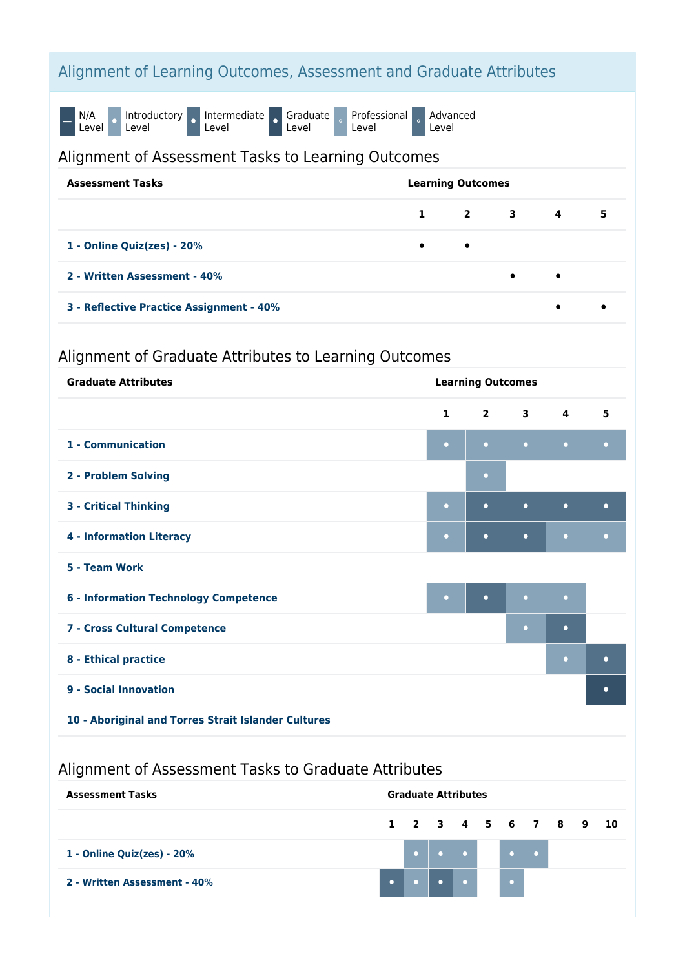# Alignment of Learning Outcomes, Assessment and Graduate Attributes

N/A Level **P** Introductory o Intermediate o Graduate Level Professional Level Advanced Level

## Alignment of Assessment Tasks to Learning Outcomes

| <b>Assessment Tasks</b>                  | <b>Learning Outcomes</b> |           |                             |           |   |
|------------------------------------------|--------------------------|-----------|-----------------------------|-----------|---|
|                                          |                          |           | $1 \quad 2 \quad 3 \quad 4$ |           | 5 |
| 1 - Online Quiz(zes) - 20%               | $\bullet$                | $\bullet$ |                             |           |   |
| 2 - Written Assessment - 40%             |                          |           | $\bullet$                   | $\bullet$ |   |
| 3 - Reflective Practice Assignment - 40% |                          |           |                             | $\bullet$ |   |

# Alignment of Graduate Attributes to Learning Outcomes

| <b>Graduate Attributes</b>                          | <b>Learning Outcomes</b> |                |                         |                         |           |
|-----------------------------------------------------|--------------------------|----------------|-------------------------|-------------------------|-----------|
|                                                     | $\mathbf{1}$             | $\overline{2}$ | $\overline{\mathbf{3}}$ | $\overline{\mathbf{4}}$ | 5         |
| 1 - Communication                                   | $\bullet$                | $\bullet$      | $\bullet$               | $\bullet$               | $\bullet$ |
| 2 - Problem Solving                                 |                          | $\bullet$      |                         |                         |           |
| <b>3 - Critical Thinking</b>                        | $\bullet$                | $\bullet$      | $\bullet$               | $\bullet$               | $\bullet$ |
| <b>4 - Information Literacy</b>                     | $\bullet$                | $\bullet$      | $\bullet$               | $\bullet$               | $\bullet$ |
| 5 - Team Work                                       |                          |                |                         |                         |           |
| <b>6 - Information Technology Competence</b>        | $\bullet$                | $\bullet$      | $\bullet$               | $\bullet$               |           |
| 7 - Cross Cultural Competence                       |                          |                | $\bullet$               | $\bullet$               |           |
| 8 - Ethical practice                                |                          |                |                         | $\bullet$               | $\bullet$ |
| 9 - Social Innovation                               |                          |                |                         |                         | $\bullet$ |
| 10 - Aboriginal and Torres Strait Islander Cultures |                          |                |                         |                         |           |

# Alignment of Assessment Tasks to Graduate Attributes

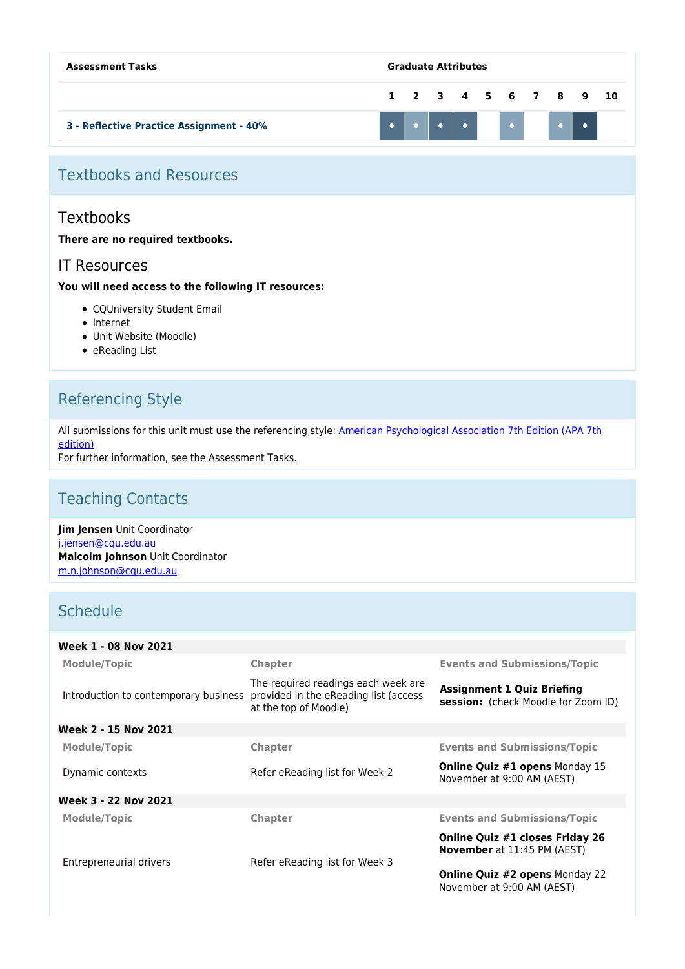| <b>Assessment Tasks</b>                  | <b>Graduate Attributes</b> |  |  |  |  |                      |  |
|------------------------------------------|----------------------------|--|--|--|--|----------------------|--|
|                                          |                            |  |  |  |  | 1 2 3 4 5 6 7 8 9 10 |  |
| 3 - Reflective Practice Assignment - 40% |                            |  |  |  |  |                      |  |

# Textbooks and Resources

## **Textbooks**

#### **There are no required textbooks.**

### IT Resources

#### **You will need access to the following IT resources:**

- CQUniversity Student Email
- Internet
- Unit Website (Moodle)
- $\bullet$  eReading List

# Referencing Style

All submissions for this unit must use the referencing style: [American Psychological Association 7th Edition \(APA 7th](https://delivery-cqucontenthub.stylelabs.cloud/api/public/content/apa-referencing-style.pdf?v=51e1aea7) [edition\)](https://delivery-cqucontenthub.stylelabs.cloud/api/public/content/apa-referencing-style.pdf?v=51e1aea7)

For further information, see the Assessment Tasks.

# Teaching Contacts

**Jim Jensen** Unit Coordinator [j.jensen@cqu.edu.au](mailto:j.jensen@cqu.edu.au) **Malcolm Johnson** Unit Coordinator [m.n.johnson@cqu.edu.au](mailto:m.n.johnson@cqu.edu.au)

# **Schedule**

| Week 1 - 08 Nov 2021                  |                                                                                                       |                                                                              |
|---------------------------------------|-------------------------------------------------------------------------------------------------------|------------------------------------------------------------------------------|
| <b>Module/Topic</b>                   | <b>Chapter</b>                                                                                        | <b>Events and Submissions/Topic</b>                                          |
| Introduction to contemporary business | The required readings each week are<br>provided in the eReading list (access<br>at the top of Moodle) | <b>Assignment 1 Quiz Briefing</b><br>session: (check Moodle for Zoom ID)     |
| Week 2 - 15 Nov 2021                  |                                                                                                       |                                                                              |
| Module/Topic                          | <b>Chapter</b>                                                                                        | <b>Events and Submissions/Topic</b>                                          |
| Dynamic contexts                      | Refer eReading list for Week 2                                                                        | <b>Online Quiz #1 opens Monday 15</b><br>November at 9:00 AM (AEST)          |
| Week 3 - 22 Nov 2021                  |                                                                                                       |                                                                              |
| <b>Module/Topic</b>                   | <b>Chapter</b>                                                                                        | <b>Events and Submissions/Topic</b>                                          |
|                                       |                                                                                                       | <b>Online Quiz #1 closes Friday 26</b><br><b>November</b> at 11:45 PM (AEST) |
| Entrepreneurial drivers               | Refer eReading list for Week 3                                                                        |                                                                              |
|                                       |                                                                                                       | Online Quiz #2 opens Monday 22<br>November at 9:00 AM (AEST)                 |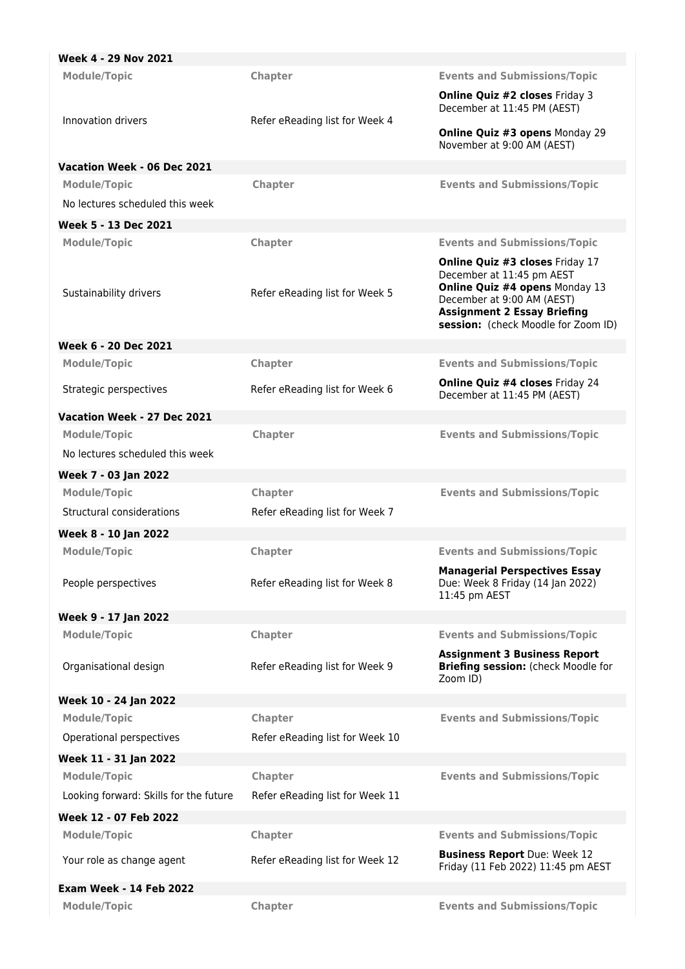| Week 4 - 29 Nov 2021                   |                                 |                                                                                                                                           |
|----------------------------------------|---------------------------------|-------------------------------------------------------------------------------------------------------------------------------------------|
| <b>Module/Topic</b>                    | <b>Chapter</b>                  | <b>Events and Submissions/Topic</b>                                                                                                       |
|                                        |                                 | <b>Online Quiz #2 closes Friday 3</b><br>December at 11:45 PM (AEST)                                                                      |
| Innovation drivers                     | Refer eReading list for Week 4  | <b>Online Quiz #3 opens Monday 29</b><br>November at 9:00 AM (AEST)                                                                       |
| Vacation Week - 06 Dec 2021            |                                 |                                                                                                                                           |
| <b>Module/Topic</b>                    | Chapter                         | <b>Events and Submissions/Topic</b>                                                                                                       |
| No lectures scheduled this week        |                                 |                                                                                                                                           |
| Week 5 - 13 Dec 2021                   |                                 |                                                                                                                                           |
| <b>Module/Topic</b>                    | Chapter                         | <b>Events and Submissions/Topic</b><br><b>Online Quiz #3 closes Friday 17</b><br>December at 11:45 pm AEST                                |
| Sustainability drivers                 | Refer eReading list for Week 5  | Online Quiz #4 opens Monday 13<br>December at 9:00 AM (AEST)<br><b>Assignment 2 Essay Briefing</b><br>session: (check Moodle for Zoom ID) |
| Week 6 - 20 Dec 2021                   |                                 |                                                                                                                                           |
| <b>Module/Topic</b>                    | Chapter                         | <b>Events and Submissions/Topic</b>                                                                                                       |
| Strategic perspectives                 | Refer eReading list for Week 6  | <b>Online Quiz #4 closes Friday 24</b><br>December at 11:45 PM (AEST)                                                                     |
| Vacation Week - 27 Dec 2021            |                                 |                                                                                                                                           |
| <b>Module/Topic</b>                    | Chapter                         | <b>Events and Submissions/Topic</b>                                                                                                       |
| No lectures scheduled this week        |                                 |                                                                                                                                           |
| Week 7 - 03 Jan 2022                   |                                 |                                                                                                                                           |
| <b>Module/Topic</b>                    | Chapter                         | <b>Events and Submissions/Topic</b>                                                                                                       |
| Structural considerations              | Refer eReading list for Week 7  |                                                                                                                                           |
| Week 8 - 10 Jan 2022                   |                                 |                                                                                                                                           |
| <b>Module/Topic</b>                    | Chapter                         | <b>Events and Submissions/Topic</b>                                                                                                       |
| People perspectives                    | Refer eReading list for Week 8  | <b>Managerial Perspectives Essay</b><br>Due: Week 8 Friday (14 Jan 2022)<br>11:45 pm AEST                                                 |
| Week 9 - 17 Jan 2022                   |                                 |                                                                                                                                           |
| <b>Module/Topic</b>                    | Chapter                         | <b>Events and Submissions/Topic</b>                                                                                                       |
| Organisational design                  | Refer eReading list for Week 9  | <b>Assignment 3 Business Report</b><br>Briefing session: (check Moodle for<br>Zoom ID)                                                    |
| Week 10 - 24 Jan 2022                  |                                 |                                                                                                                                           |
| <b>Module/Topic</b>                    | Chapter                         | <b>Events and Submissions/Topic</b>                                                                                                       |
| Operational perspectives               | Refer eReading list for Week 10 |                                                                                                                                           |
| Week 11 - 31 Jan 2022                  |                                 |                                                                                                                                           |
| <b>Module/Topic</b>                    | <b>Chapter</b>                  | <b>Events and Submissions/Topic</b>                                                                                                       |
| Looking forward: Skills for the future | Refer eReading list for Week 11 |                                                                                                                                           |
| Week 12 - 07 Feb 2022                  |                                 |                                                                                                                                           |
| <b>Module/Topic</b>                    | Chapter                         | <b>Events and Submissions/Topic</b>                                                                                                       |
| Your role as change agent              | Refer eReading list for Week 12 | <b>Business Report</b> Due: Week 12<br>Friday (11 Feb 2022) 11:45 pm AEST                                                                 |
| <b>Exam Week - 14 Feb 2022</b>         |                                 |                                                                                                                                           |
| <b>Module/Topic</b>                    | Chapter                         | <b>Events and Submissions/Topic</b>                                                                                                       |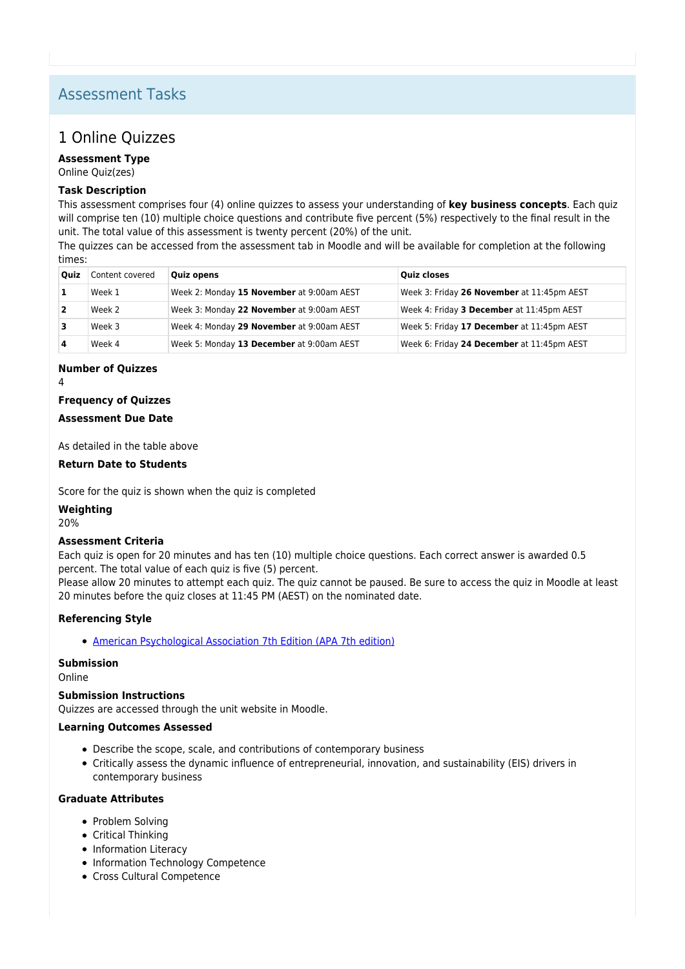# Assessment Tasks

# 1 Online Quizzes

**Assessment Type** Online Quiz(zes)

## **Task Description**

This assessment comprises four (4) online quizzes to assess your understanding of **key business concepts**. Each quiz will comprise ten (10) multiple choice questions and contribute five percent (5%) respectively to the final result in the unit. The total value of this assessment is twenty percent (20%) of the unit.

The quizzes can be accessed from the assessment tab in Moodle and will be available for completion at the following times:

| Ouiz | Content covered | <b>Quiz opens</b>                         | <b>Ouiz closes</b>                         |
|------|-----------------|-------------------------------------------|--------------------------------------------|
|      | Week 1          | Week 2: Monday 15 November at 9:00am AEST | Week 3: Friday 26 November at 11:45pm AEST |
|      | Week 2          | Week 3: Monday 22 November at 9:00am AEST | Week 4: Friday 3 December at 11:45pm AEST  |
|      | Week 3          | Week 4: Monday 29 November at 9:00am AEST | Week 5: Friday 17 December at 11:45pm AEST |
|      | Week 4          | Week 5: Monday 13 December at 9:00am AEST | Week 6: Friday 24 December at 11:45pm AEST |

#### **Number of Quizzes**

4

#### **Frequency of Quizzes**

#### **Assessment Due Date**

As detailed in the table above

#### **Return Date to Students**

Score for the quiz is shown when the quiz is completed

#### **Weighting**

20%

#### **Assessment Criteria**

Each quiz is open for 20 minutes and has ten (10) multiple choice questions. Each correct answer is awarded 0.5 percent. The total value of each quiz is five (5) percent.

Please allow 20 minutes to attempt each quiz. The quiz cannot be paused. Be sure to access the quiz in Moodle at least 20 minutes before the quiz closes at 11:45 PM (AEST) on the nominated date.

#### **Referencing Style**

[American Psychological Association 7th Edition \(APA 7th edition\)](https://delivery-cqucontenthub.stylelabs.cloud/api/public/content/apa-referencing-style.pdf?v=51e1aea7)

#### **Submission**

Online

#### **Submission Instructions**

Quizzes are accessed through the unit website in Moodle.

#### **Learning Outcomes Assessed**

- Describe the scope, scale, and contributions of contemporary business
- Critically assess the dynamic influence of entrepreneurial, innovation, and sustainability (EIS) drivers in contemporary business

#### **Graduate Attributes**

- Problem Solving
- Critical Thinking
- Information Literacy
- Information Technology Competence
- Cross Cultural Competence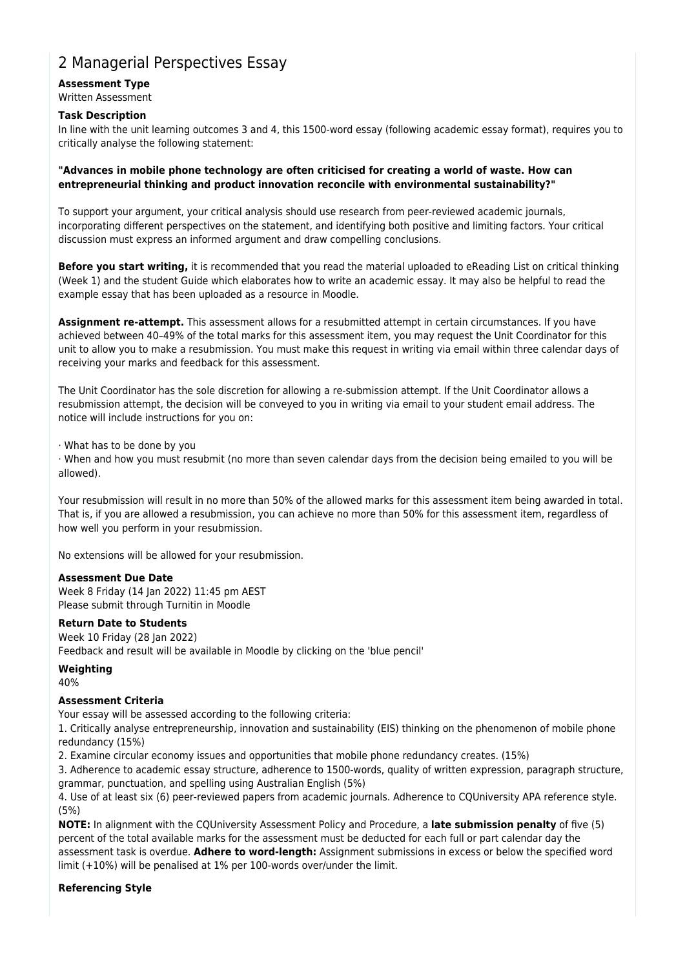# 2 Managerial Perspectives Essay

#### **Assessment Type** Written Assessment

#### **Task Description**

In line with the unit learning outcomes 3 and 4, this 1500-word essay (following academic essay format), requires you to critically analyse the following statement:

#### **"Advances in mobile phone technology are often criticised for creating a world of waste. How can entrepreneurial thinking and product innovation reconcile with environmental sustainability?"**

To support your argument, your critical analysis should use research from peer-reviewed academic journals, incorporating different perspectives on the statement, and identifying both positive and limiting factors. Your critical discussion must express an informed argument and draw compelling conclusions.

**Before you start writing,** it is recommended that you read the material uploaded to eReading List on critical thinking (Week 1) and the student Guide which elaborates how to write an academic essay. It may also be helpful to read the example essay that has been uploaded as a resource in Moodle.

**Assignment re-attempt.** This assessment allows for a resubmitted attempt in certain circumstances. If you have achieved between 40–49% of the total marks for this assessment item, you may request the Unit Coordinator for this unit to allow you to make a resubmission. You must make this request in writing via email within three calendar days of receiving your marks and feedback for this assessment.

The Unit Coordinator has the sole discretion for allowing a re-submission attempt. If the Unit Coordinator allows a resubmission attempt, the decision will be conveyed to you in writing via email to your student email address. The notice will include instructions for you on:

· What has to be done by you

· When and how you must resubmit (no more than seven calendar days from the decision being emailed to you will be allowed).

Your resubmission will result in no more than 50% of the allowed marks for this assessment item being awarded in total. That is, if you are allowed a resubmission, you can achieve no more than 50% for this assessment item, regardless of how well you perform in your resubmission.

No extensions will be allowed for your resubmission.

#### **Assessment Due Date**

Week 8 Friday (14 Jan 2022) 11:45 pm AEST Please submit through Turnitin in Moodle

#### **Return Date to Students**

Week 10 Friday (28 Jan 2022) Feedback and result will be available in Moodle by clicking on the 'blue pencil'

#### **Weighting**

40%

#### **Assessment Criteria**

Your essay will be assessed according to the following criteria:

1. Critically analyse entrepreneurship, innovation and sustainability (EIS) thinking on the phenomenon of mobile phone redundancy (15%)

2. Examine circular economy issues and opportunities that mobile phone redundancy creates. (15%)

3. Adherence to academic essay structure, adherence to 1500-words, quality of written expression, paragraph structure, grammar, punctuation, and spelling using Australian English (5%)

4. Use of at least six (6) peer-reviewed papers from academic journals. Adherence to CQUniversity APA reference style. (5%)

**NOTE:** In alignment with the CQUniversity Assessment Policy and Procedure, a **late submission penalty** of five (5) percent of the total available marks for the assessment must be deducted for each full or part calendar day the assessment task is overdue. **Adhere to word-length:** Assignment submissions in excess or below the specified word limit (+10%) will be penalised at 1% per 100-words over/under the limit.

#### **Referencing Style**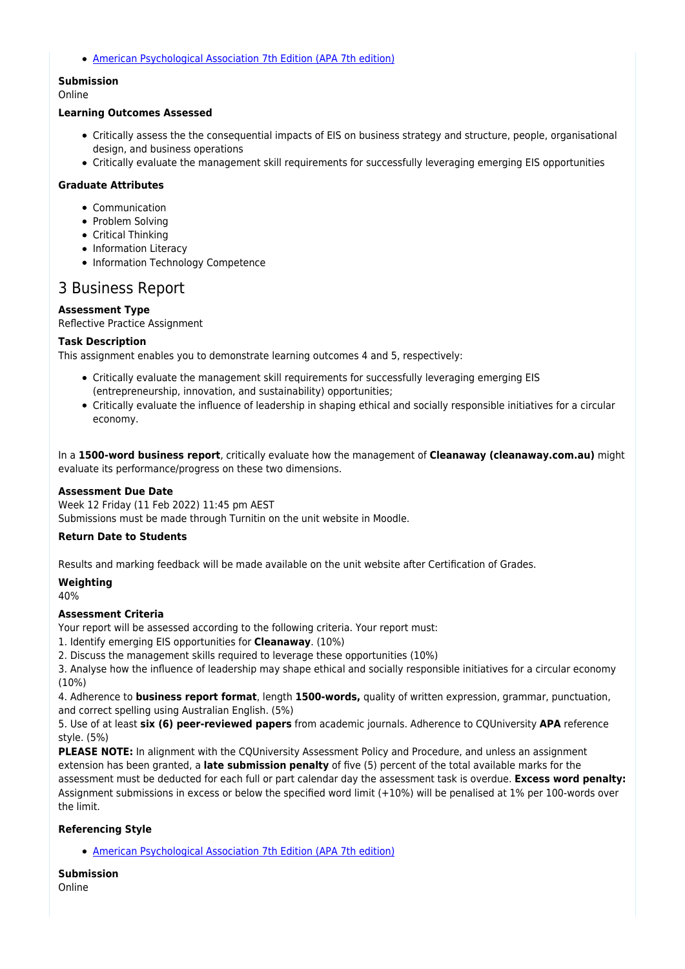[American Psychological Association 7th Edition \(APA 7th edition\)](https://delivery-cqucontenthub.stylelabs.cloud/api/public/content/apa-referencing-style.pdf?v=51e1aea7)

# **Submission**

#### Online

#### **Learning Outcomes Assessed**

- Critically assess the the consequential impacts of EIS on business strategy and structure, people, organisational design, and business operations
- Critically evaluate the management skill requirements for successfully leveraging emerging EIS opportunities

#### **Graduate Attributes**

- Communication
- Problem Solving
- Critical Thinking
- Information Literacy
- Information Technology Competence

## 3 Business Report

#### **Assessment Type**

Reflective Practice Assignment

#### **Task Description**

This assignment enables you to demonstrate learning outcomes 4 and 5, respectively:

- Critically evaluate the management skill requirements for successfully leveraging emerging EIS (entrepreneurship, innovation, and sustainability) opportunities;
- Critically evaluate the influence of leadership in shaping ethical and socially responsible initiatives for a circular economy.

In a **1500-word business report**, critically evaluate how the management of **Cleanaway (cleanaway.com.au)** might evaluate its performance/progress on these two dimensions.

#### **Assessment Due Date**

Week 12 Friday (11 Feb 2022) 11:45 pm AEST Submissions must be made through Turnitin on the unit website in Moodle.

#### **Return Date to Students**

Results and marking feedback will be made available on the unit website after Certification of Grades.

**Weighting** 40%

#### **Assessment Criteria**

Your report will be assessed according to the following criteria. Your report must:

1. Identify emerging EIS opportunities for **Cleanaway**. (10%)

2. Discuss the management skills required to leverage these opportunities (10%)

3. Analyse how the influence of leadership may shape ethical and socially responsible initiatives for a circular economy (10%)

4. Adherence to **business report format**, length **1500-words,** quality of written expression, grammar, punctuation, and correct spelling using Australian English. (5%)

5. Use of at least **six (6) peer-reviewed papers** from academic journals. Adherence to CQUniversity **APA** reference style. (5%)

**PLEASE NOTE:** In alignment with the CQUniversity Assessment Policy and Procedure, and unless an assignment extension has been granted, a **late submission penalty** of five (5) percent of the total available marks for the assessment must be deducted for each full or part calendar day the assessment task is overdue. **Excess word penalty:** Assignment submissions in excess or below the specified word limit (+10%) will be penalised at 1% per 100-words over the limit.

#### **Referencing Style**

[American Psychological Association 7th Edition \(APA 7th edition\)](https://delivery-cqucontenthub.stylelabs.cloud/api/public/content/apa-referencing-style.pdf?v=51e1aea7)

### **Submission**

Online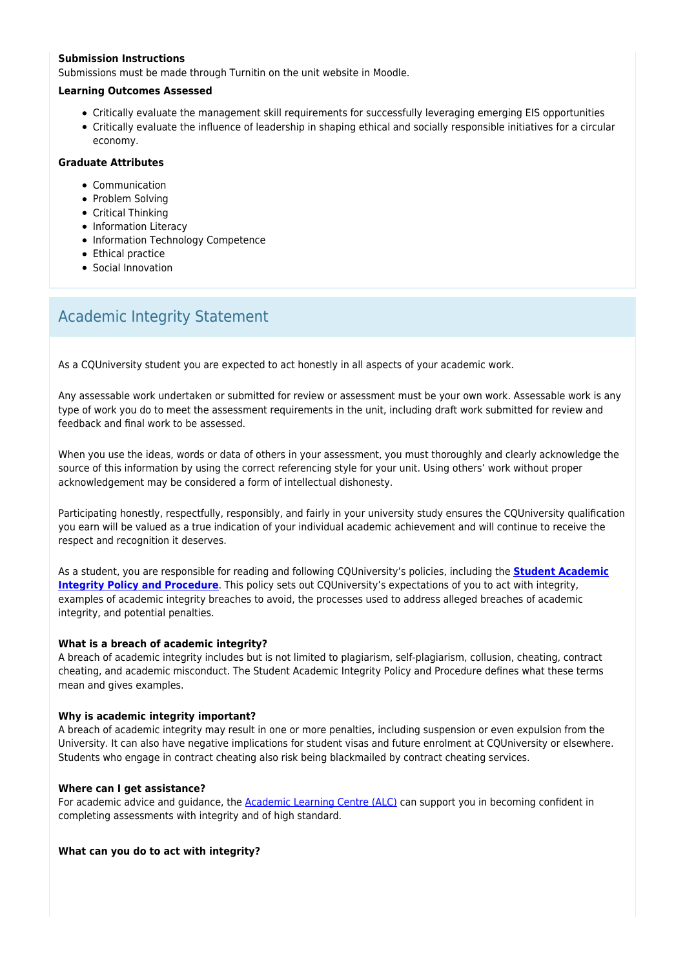#### **Submission Instructions**

Submissions must be made through Turnitin on the unit website in Moodle.

#### **Learning Outcomes Assessed**

- Critically evaluate the management skill requirements for successfully leveraging emerging EIS opportunities
- Critically evaluate the influence of leadership in shaping ethical and socially responsible initiatives for a circular economy.

#### **Graduate Attributes**

- Communication
- Problem Solving
- Critical Thinking
- Information Literacy
- Information Technology Competence
- Ethical practice
- Social Innovation

# Academic Integrity Statement

As a CQUniversity student you are expected to act honestly in all aspects of your academic work.

Any assessable work undertaken or submitted for review or assessment must be your own work. Assessable work is any type of work you do to meet the assessment requirements in the unit, including draft work submitted for review and feedback and final work to be assessed.

When you use the ideas, words or data of others in your assessment, you must thoroughly and clearly acknowledge the source of this information by using the correct referencing style for your unit. Using others' work without proper acknowledgement may be considered a form of intellectual dishonesty.

Participating honestly, respectfully, responsibly, and fairly in your university study ensures the CQUniversity qualification you earn will be valued as a true indication of your individual academic achievement and will continue to receive the respect and recognition it deserves.

As a student, you are responsible for reading and following CQUniversity's policies, including the **[Student Academic](https://www.cqu.edu.au/policy/sharepoint-document-download?file_uri={BE8380F3-F86D-4C55-AC0D-84A81EAFD6A2}/Student%20Academic%20Integrity%20Policy%20and%20Procedure%20(formerly%20known%20as%20the%20Academic%20Misconduct%20Procedure).pdf) [Integrity Policy and Procedure](https://www.cqu.edu.au/policy/sharepoint-document-download?file_uri={BE8380F3-F86D-4C55-AC0D-84A81EAFD6A2}/Student%20Academic%20Integrity%20Policy%20and%20Procedure%20(formerly%20known%20as%20the%20Academic%20Misconduct%20Procedure).pdf)**. This policy sets out CQUniversity's expectations of you to act with integrity, examples of academic integrity breaches to avoid, the processes used to address alleged breaches of academic integrity, and potential penalties.

#### **What is a breach of academic integrity?**

A breach of academic integrity includes but is not limited to plagiarism, self-plagiarism, collusion, cheating, contract cheating, and academic misconduct. The Student Academic Integrity Policy and Procedure defines what these terms mean and gives examples.

#### **Why is academic integrity important?**

A breach of academic integrity may result in one or more penalties, including suspension or even expulsion from the University. It can also have negative implications for student visas and future enrolment at CQUniversity or elsewhere. Students who engage in contract cheating also risk being blackmailed by contract cheating services.

#### **Where can I get assistance?**

For academic advice and guidance, the [Academic Learning Centre \(ALC\)](https://www.cqu.edu.au/student-life/academic-learning-centre) can support you in becoming confident in completing assessments with integrity and of high standard.

#### **What can you do to act with integrity?**